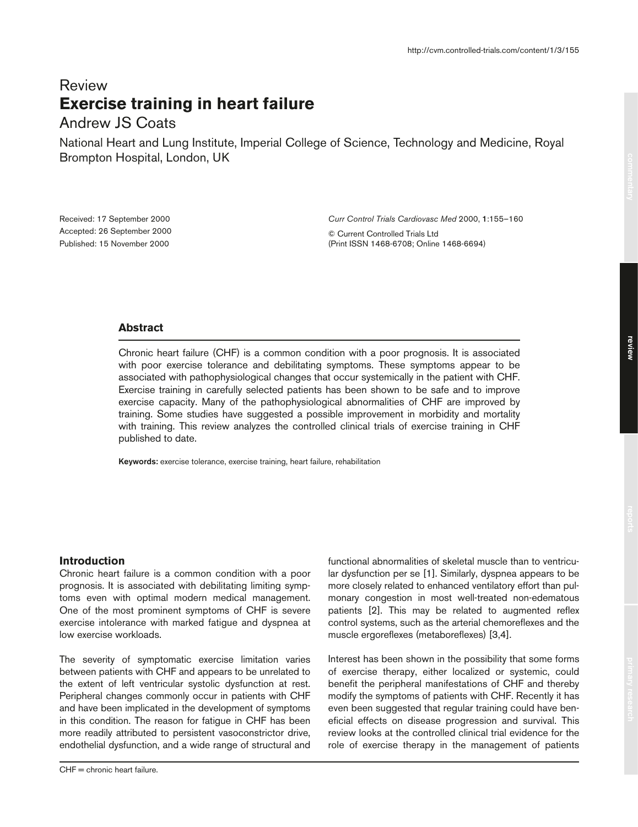# Review **Exercise training in heart failure**

# Andrew JS Coats

National Heart and Lung Institute, Imperial College of Science, Technology and Medicine, Royal Brompton Hospital, London, UK

Received: 17 September 2000 Accepted: 26 September 2000 Published: 15 November 2000

*Curr Control Trials Cardiovasc Med* 2000, **1**:155–160

© Current Controlled Trials Ltd (Print ISSN 1468-6708; Online 1468-6694)

# **Abstract**

Chronic heart failure (CHF) is a common condition with a poor prognosis. It is associated with poor exercise tolerance and debilitating symptoms. These symptoms appear to be associated with pathophysiological changes that occur systemically in the patient with CHF. Exercise training in carefully selected patients has been shown to be safe and to improve exercise capacity. Many of the pathophysiological abnormalities of CHF are improved by training. Some studies have suggested a possible improvement in morbidity and mortality with training. This review analyzes the controlled clinical trials of exercise training in CHF published to date.

**Keywords:** exercise tolerance, exercise training, heart failure, rehabilitation

# **Introduction**

Chronic heart failure is a common condition with a poor prognosis. It is associated with debilitating limiting symptoms even with optimal modern medical management. One of the most prominent symptoms of CHF is severe exercise intolerance with marked fatigue and dyspnea at low exercise workloads.

The severity of symptomatic exercise limitation varies between patients with CHF and appears to be unrelated to the extent of left ventricular systolic dysfunction at rest. Peripheral changes commonly occur in patients with CHF and have been implicated in the development of symptoms in this condition. The reason for fatigue in CHF has been more readily attributed to persistent vasoconstrictor drive, endothelial dysfunction, and a wide range of structural and

functional abnormalities of skeletal muscle than to ventricular dysfunction per se [1]. Similarly, dyspnea appears to be more closely related to enhanced ventilatory effort than pulmonary congestion in most well-treated non-edematous patients [2]. This may be related to augmented reflex control systems, such as the arterial chemoreflexes and the muscle ergoreflexes (metaboreflexes) [3,4].

Interest has been shown in the possibility that some forms of exercise therapy, either localized or systemic, could benefit the peripheral manifestations of CHF and thereby modify the symptoms of patients with CHF. Recently it has even been suggested that regular training could have beneficial effects on disease progression and survival. This review looks at the controlled clinical trial evidence for the role of exercise therapy in the management of patients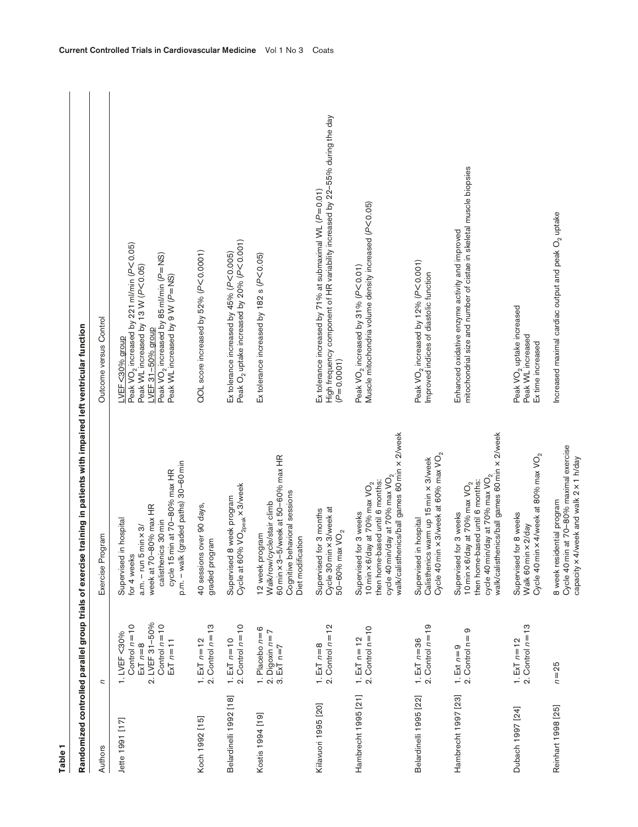| י<br>הוא המונח המונח המונח המונח המונח המונח המונח המונח המונח המונח המונח המונח המונח המונח המונח המונח המונח המונ<br>המונח המונח המונח המונח המונח המונח המונח המונח המונח המונח המונח המונח המונח המונח המונח המונח המונח המונח |
|------------------------------------------------------------------------------------------------------------------------------------------------------------------------------------------------------------------------------------|
|                                                                                                                                                                                                                                    |
|                                                                                                                                                                                                                                    |
|                                                                                                                                                                                                                                    |
|                                                                                                                                                                                                                                    |
|                                                                                                                                                                                                                                    |
| <br> <br> <br> <br>                                                                                                                                                                                                                |
|                                                                                                                                                                                                                                    |
| $\frac{1}{2}$                                                                                                                                                                                                                      |
|                                                                                                                                                                                                                                    |
| ï                                                                                                                                                                                                                                  |
| Ē                                                                                                                                                                                                                                  |
|                                                                                                                                                                                                                                    |
|                                                                                                                                                                                                                                    |
|                                                                                                                                                                                                                                    |
|                                                                                                                                                                                                                                    |
|                                                                                                                                                                                                                                    |
| ֧֖֖֖֖֖֖֖֖֖֧֚֚֚֚֚֚֚֚֚֚֚֝֬ <u>֟</u><br>֧֪֪֪֪֪֪֪֪֪֪֪֪֪֖֩֩                                                                                                                                                                             |
| ì                                                                                                                                                                                                                                  |
|                                                                                                                                                                                                                                    |
|                                                                                                                                                                                                                                    |
| ndomized controlled parallel<br>ì                                                                                                                                                                                                  |
|                                                                                                                                                                                                                                    |
|                                                                                                                                                                                                                                    |
|                                                                                                                                                                                                                                    |

| Table 1                |                                                                                                                          |                                                                                                                                                                                                              |                                                                                                                                                                                                                             |
|------------------------|--------------------------------------------------------------------------------------------------------------------------|--------------------------------------------------------------------------------------------------------------------------------------------------------------------------------------------------------------|-----------------------------------------------------------------------------------------------------------------------------------------------------------------------------------------------------------------------------|
|                        | Randomized controlled parallel group trials of exercis                                                                   | e training in patients with impaired left ventricular function                                                                                                                                               |                                                                                                                                                                                                                             |
| Authors                | U                                                                                                                        | Exercise Program                                                                                                                                                                                             | Outcome versus Control                                                                                                                                                                                                      |
| Jette 1991 [17]        | LVEF 31-50%<br>Control $n=10$<br>Control $n=10$<br>1. LVEF<30%<br>$ExT n = 11$<br>$ExT n = 8$<br>$\overline{\mathbf{N}}$ | p.m. - walk (graded paths) 30-60 min<br>cycle 15 min at 70-80% max HR<br>week at 70-80% max HR<br>Supervised in hospital<br>calisthenics 30 min<br>$am. - run 5 min \times 3/$<br>for 4 weeks                | Peak $\mathrm{VO}_2$ increased by 221 ml/min (P $<$ 0.05)<br>Peak $VO_2$ increased by 85 ml/min ( $P=NS$ )<br>Peak WL increased by 13 W (P<0.05)<br>Peak WL increased by 9 W (P=NS)<br>LVEF 31-50% group<br>LVEF <30% group |
| Koch 1992 [15]         | 2. Control $n = 13$<br>1. $ExT n = 12$                                                                                   | 40 sessions over 90 days,<br>graded program                                                                                                                                                                  | QOL score increased by 52% (P<0.0001)                                                                                                                                                                                       |
| Belardinelli 1992 [18] | 1. ExT $n = 10$<br>2. Control $n = 10$                                                                                   | Cycle at 60% VO <sub>2peak</sub> x 3/week<br>Supervised 8 week program                                                                                                                                       | Peak O <sub>2</sub> uptake increased by 20% (P<0.001)<br>Ex tolerance increased by 45% (P<0.005)                                                                                                                            |
| Kostis 1994 [19]       | 1. Placebo $n=6$<br>2. Digoxin $n=7$<br>3. ExT $n=7$                                                                     | 60 min x 3-5/week at 50-60% max HR<br>behavioral sessions<br>Walk/row/cycle/stair climb<br>12 week program<br>Diet modification<br>Cognitive                                                                 | Ex tolerance increased by 182 s (P<0.05)                                                                                                                                                                                    |
| Kiilavuori 1995 [20]   | 2. Control $n = 12$<br>1. $ExT n = 8$                                                                                    | Cycle 30 min x 3/week at<br>Supervised for 3 months<br>$50 - 60%$ max $VO2$                                                                                                                                  | High frequency component of HR variability increased by 22-55% during the day<br>Ex tolerance increased by 71% at submaximal WL (P=0.01)<br>$(P=0.0001)$                                                                    |
| Hambrecht 1995 [21]    | $2.$ Control $n=10$<br>1. $ExT$ n=12                                                                                     | walk/calisthenics/ball games 60 min x 2/week<br>cycle 40 min/day at 70% max $\mathrm{VO}_2$<br>then home-based until 6 months:<br>10 min $\times$ 6/day at 70% max VO <sub>2</sub><br>Supervised for 3 weeks | Muscle mitochondria volume density increased (P<0.05)<br>Peak VO <sub>2</sub> increased by 31% (P<0.01)                                                                                                                     |
| Belardinelli 1995 [22] | 2. Control $n=19$<br>1. $ExT n = 36$                                                                                     | Cycle 40 min $\times$ 3/week at 60% max VO <sub>2</sub><br>Calisthenics warm up 15 min x 3/week<br>Supervised in hospital                                                                                    | Peak $VO_2$ increased by 12% ( $PC0.001$ )<br>Improved indices of diastolic function                                                                                                                                        |
| Hambrecht 1997 [23]    | ၜ<br>2. Control n=<br>1. Ext $n=9$                                                                                       | walk/calisthenics/ball games 60 min x 2/week<br>cycle 40 min/day at 70% max $\mathrm{VO}_2$<br>then home-based until 6 months:<br>10 min $\times$ 6/day at 70% max VO <sub>2</sub><br>Supervised for 3 weeks | mitochondrial size and number of cistae in skeletal muscle biopsies<br>Enhanced oxidative enzyme activity and improved                                                                                                      |
| Dubach 1997 [24]       | 1. ExT $n = 12$<br>2. Control $n = 13$                                                                                   | Cycle 40 min $\times$ 4/week at 80% max VO <sub>2</sub><br>Supervised for 8 weeks<br>Walk 60 min x 2/day                                                                                                     | Peak VO <sub>2</sub> uptake increased<br>Peak WL increased<br>Ex time increased                                                                                                                                             |
| Reinhart 1998 [25]     | $n = 25$                                                                                                                 | Cycle 40 min at 70-80% maximal exercise<br>capacity x 4/week and walk 2 x 1 h/day<br>8 week residential program                                                                                              | Increased maximal cardiac output and peak $O2$ uptake                                                                                                                                                                       |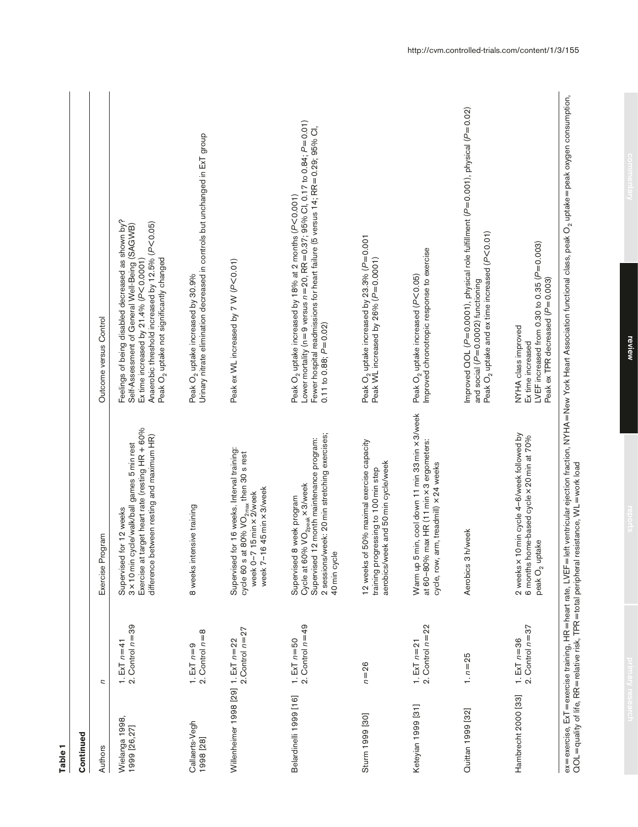| Table <sub>1</sub>                     |                                                          |                                                                                                                                                                                        |                                                                                                                                                                                                                                                                            |
|----------------------------------------|----------------------------------------------------------|----------------------------------------------------------------------------------------------------------------------------------------------------------------------------------------|----------------------------------------------------------------------------------------------------------------------------------------------------------------------------------------------------------------------------------------------------------------------------|
| Continued                              |                                                          |                                                                                                                                                                                        |                                                                                                                                                                                                                                                                            |
| Authors                                | U                                                        | Exercise Program                                                                                                                                                                       | Outcome versus Control                                                                                                                                                                                                                                                     |
| Wielanga 1998,<br>1999 [26,27]         | 1. ExT $n=41$<br>2. Control $n=39$                       | target heart rate (resting HR + 60%<br>difference between resting and maximum HR)<br>3 x 10 min cycle/walk/ball games 5 min rest<br>for 12 weeks<br>Supervised<br>Exercise at          | Feelings of being disabled decreased as shown by?<br>Anaerobic threshold increased by 12.5% (P<0.05)<br>Self-Assessment of General Well-Being (SAGWB)<br>Peak O <sub>2</sub> uptake not significantly changed<br>Ex time increased by $21.4\%$ (P<0.0001)                  |
| Callaerts-Vegh<br>1998 [28]            | 2. Control $n=8$<br>1. $ExT n=9$                         | 8 weeks intensive training                                                                                                                                                             | Urinary nitrate elimination decreased in controls but unchanged in ExT group<br>Peak O <sub>2</sub> uptake increased by 30.9%                                                                                                                                              |
| Willenheimer 1998 [29] 1. ExT $n = 22$ | 2. Control $n = 27$                                      | Supervised for 16 weeks. Interval training:<br>cycle 60 s at 80% $\rm{VO_{2max}}$ then 30 s rest<br>week 7-16 45 min x 3/week<br>week 0-7 15 min x 2/week                              | Peak ex WL increased by 7 W (P<0.01)                                                                                                                                                                                                                                       |
| Belardinelli 1999 [16]                 | 2. Control $n=49$<br>1. ExT $n=50$                       | 2 sessions/week: 20 min stretching exercises;<br>Supervised 12 month maintenance program:<br>Cycle at 60% VO <sub>2peak</sub> x 3/week<br>8 week program<br>40 min cycle<br>Supervised | Lower mortality (n = 9 versus $n=20$ , RR = 0.37; 95% Cl, 0.17 to 0.84; $P=$ 0.01)<br>Fewer hospital readmissions for heart failure (5 versus 14; RR=0.29; 95% CI,<br>Peak O <sub>2</sub> uptake increased by 18% at 2 months (P<0.001)<br>$0.11$ to $0.88$ ; $P = 0.02$ ) |
| Sturm 1999 [30]                        | $n = 26$                                                 | 12 weeks of 50% maximal exercise capacity<br>aerobics/week and 50 min cycle/week<br>training progressing to 100 min step                                                               | Peak O <sub>2</sub> uptake increased by 23.3% (P=0.001<br>Peak WL increased by 26% (P=0.0001)                                                                                                                                                                              |
| Keteyian 1999 [31]                     | 2. Control $n=22$<br>1. $ExT n = 21$                     | Warm up 5 min, cool down 11 min 33 min x 3/week<br>at 60-80% max HR (11 min x 3 ergometers:<br>arm, treadmill) x 24 weeks<br>cycle, row,                                               | Improved chronotropic response to exercise<br>Peak $O_2$ uptake increased ( $P<$ 0.05)                                                                                                                                                                                     |
| Quittan 1999 [32]                      | $1. n = 25$                                              | h/week<br>Aerobics 3                                                                                                                                                                   | Improved QOL (P=0.0001), physical role fulfillment (P=0.001), physical (P=0.02)<br>Peak $O_2$ uptake and ex time increased ( $P$ <0.01)<br>and social (P=0.0002) functioning                                                                                               |
| Hambrecht 2000 [33]                    | 2. Control $n=37$<br>1. $ExT n = 36$                     | 2 weeks x 10 min cycle 4-6/week followed by<br>6 months home-based cycle x 20 min at 70%<br>peak O <sub>2</sub> uptake                                                                 | LVEF increased from 0.30 to 0.35 $(P=0.003)$<br>Peak ex TPR decreased (P=0.003)<br>NYHA class improved<br>Ex time increased                                                                                                                                                |
|                                        | ex=exercise, ExT=exercise training, HR=heart rate, LVEF= | $\overline{QOL}$ = quality of life, RR = relative risk, TPR = total peripheral resistance, WL = work load                                                                              | eft ventricular ejection fraction, NYHA = New York Heart Association functional class, peak O <sub>2</sub> uptake = peak oxygen consumption,                                                                                                                               |

http://cvm.controlled-trials.com/content/1/3/155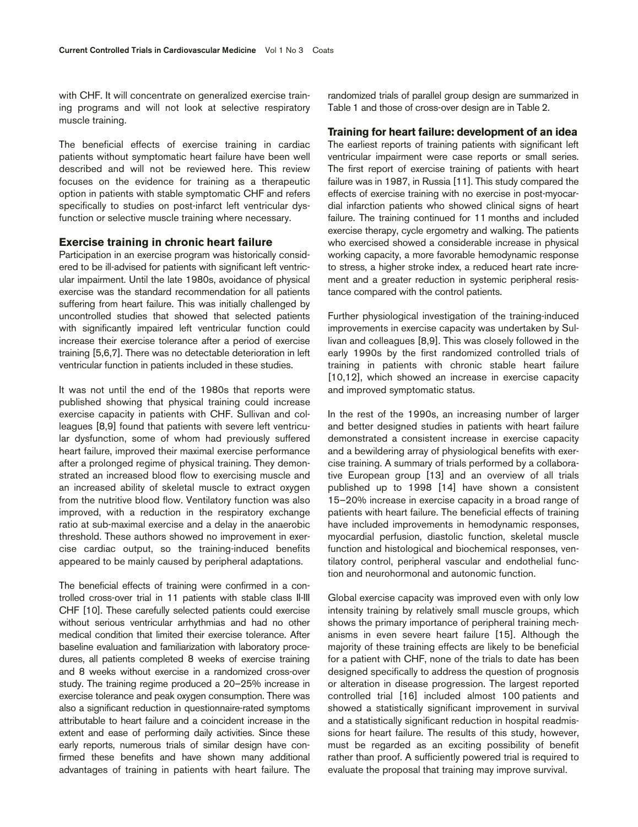with CHF. It will concentrate on generalized exercise training programs and will not look at selective respiratory muscle training.

The beneficial effects of exercise training in cardiac patients without symptomatic heart failure have been well described and will not be reviewed here. This review focuses on the evidence for training as a therapeutic option in patients with stable symptomatic CHF and refers specifically to studies on post-infarct left ventricular dysfunction or selective muscle training where necessary.

#### **Exercise training in chronic heart failure**

Participation in an exercise program was historically considered to be ill-advised for patients with significant left ventricular impairment. Until the late 1980s, avoidance of physical exercise was the standard recommendation for all patients suffering from heart failure. This was initially challenged by uncontrolled studies that showed that selected patients with significantly impaired left ventricular function could increase their exercise tolerance after a period of exercise training [5,6,7]. There was no detectable deterioration in left ventricular function in patients included in these studies.

It was not until the end of the 1980s that reports were published showing that physical training could increase exercise capacity in patients with CHF. Sullivan and colleagues [8,9] found that patients with severe left ventricular dysfunction, some of whom had previously suffered heart failure, improved their maximal exercise performance after a prolonged regime of physical training. They demonstrated an increased blood flow to exercising muscle and an increased ability of skeletal muscle to extract oxygen from the nutritive blood flow. Ventilatory function was also improved, with a reduction in the respiratory exchange ratio at sub-maximal exercise and a delay in the anaerobic threshold. These authors showed no improvement in exercise cardiac output, so the training-induced benefits appeared to be mainly caused by peripheral adaptations.

The beneficial effects of training were confirmed in a controlled cross-over trial in 11 patients with stable class II-III CHF [10]. These carefully selected patients could exercise without serious ventricular arrhythmias and had no other medical condition that limited their exercise tolerance. After baseline evaluation and familiarization with laboratory procedures, all patients completed 8 weeks of exercise training and 8 weeks without exercise in a randomized cross-over study. The training regime produced a 20–25% increase in exercise tolerance and peak oxygen consumption. There was also a significant reduction in questionnaire-rated symptoms attributable to heart failure and a coincident increase in the extent and ease of performing daily activities. Since these early reports, numerous trials of similar design have confirmed these benefits and have shown many additional advantages of training in patients with heart failure. The

randomized trials of parallel group design are summarized in Table 1 and those of cross-over design are in Table 2.

## **Training for heart failure: development of an idea**

The earliest reports of training patients with significant left ventricular impairment were case reports or small series. The first report of exercise training of patients with heart failure was in 1987, in Russia [11]. This study compared the effects of exercise training with no exercise in post-myocardial infarction patients who showed clinical signs of heart failure. The training continued for 11 months and included exercise therapy, cycle ergometry and walking. The patients who exercised showed a considerable increase in physical working capacity, a more favorable hemodynamic response to stress, a higher stroke index, a reduced heart rate increment and a greater reduction in systemic peripheral resistance compared with the control patients.

Further physiological investigation of the training-induced improvements in exercise capacity was undertaken by Sullivan and colleagues [8,9]. This was closely followed in the early 1990s by the first randomized controlled trials of training in patients with chronic stable heart failure [10,12], which showed an increase in exercise capacity and improved symptomatic status.

In the rest of the 1990s, an increasing number of larger and better designed studies in patients with heart failure demonstrated a consistent increase in exercise capacity and a bewildering array of physiological benefits with exercise training. A summary of trials performed by a collaborative European group [13] and an overview of all trials published up to 1998 [14] have shown a consistent 15–20% increase in exercise capacity in a broad range of patients with heart failure. The beneficial effects of training have included improvements in hemodynamic responses, myocardial perfusion, diastolic function, skeletal muscle function and histological and biochemical responses, ventilatory control, peripheral vascular and endothelial function and neurohormonal and autonomic function.

Global exercise capacity was improved even with only low intensity training by relatively small muscle groups, which shows the primary importance of peripheral training mechanisms in even severe heart failure [15]. Although the majority of these training effects are likely to be beneficial for a patient with CHF, none of the trials to date has been designed specifically to address the question of prognosis or alteration in disease progression. The largest reported controlled trial [16] included almost 100 patients and showed a statistically significant improvement in survival and a statistically significant reduction in hospital readmissions for heart failure. The results of this study, however, must be regarded as an exciting possibility of benefit rather than proof. A sufficiently powered trial is required to evaluate the proposal that training may improve survival.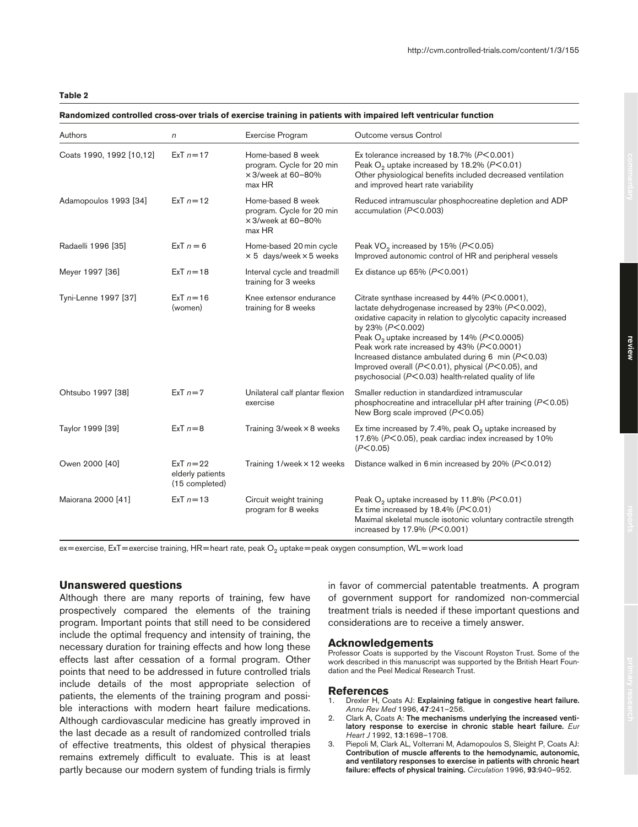#### **Randomized controlled cross-over trials of exercise training in patients with impaired left ventricular function**

| Authors                  | $\sqrt{n}$                                       | Exercise Program                                                                      | Outcome versus Control                                                                                                                                                                                                                                                                                                                                                                                                                                                                  |
|--------------------------|--------------------------------------------------|---------------------------------------------------------------------------------------|-----------------------------------------------------------------------------------------------------------------------------------------------------------------------------------------------------------------------------------------------------------------------------------------------------------------------------------------------------------------------------------------------------------------------------------------------------------------------------------------|
| Coats 1990, 1992 [10,12] | $ExT n = 17$                                     | Home-based 8 week<br>program. Cycle for 20 min<br>$\times$ 3/week at 60-80%<br>max HR | Ex tolerance increased by $18.7\%$ ( $P < 0.001$ )<br>Peak $O2$ uptake increased by 18.2% ( $P$ <0.01)<br>Other physiological benefits included decreased ventilation<br>and improved heart rate variability                                                                                                                                                                                                                                                                            |
| Adamopoulos 1993 [34]    | $ExT_n = 12$                                     | Home-based 8 week<br>program. Cycle for 20 min<br>$\times$ 3/week at 60-80%<br>max HR | Reduced intramuscular phosphocreatine depletion and ADP<br>accumulation ( $P<0.003$ )                                                                                                                                                                                                                                                                                                                                                                                                   |
| Radaelli 1996 [35]       | ExT $n = 6$                                      | Home-based 20 min cycle<br>$\times$ 5 days/week $\times$ 5 weeks                      | Peak VO <sub>2</sub> increased by 15% (P<0.05)<br>Improved autonomic control of HR and peripheral vessels                                                                                                                                                                                                                                                                                                                                                                               |
| Meyer 1997 [36]          | $ExT_n = 18$                                     | Interval cycle and treadmill<br>training for 3 weeks                                  | Ex distance up $65\%$ ( $P<0.001$ )                                                                                                                                                                                                                                                                                                                                                                                                                                                     |
| Tyni-Lenne 1997 [37]     | $ExT n = 16$<br>(women)                          | Knee extensor endurance<br>training for 8 weeks                                       | Citrate synthase increased by $44\%$ ( $P < 0.0001$ ),<br>lactate dehydrogenase increased by 23% (P<0.002),<br>oxidative capacity in relation to glycolytic capacity increased<br>by 23% (P<0.002)<br>Peak $O2$ uptake increased by 14% ( $P<$ 0.0005)<br>Peak work rate increased by 43% (P<0.0001)<br>Increased distance ambulated during $6$ min ( $P < 0.03$ )<br>Improved overall ( $P<0.01$ ), physical ( $P<0.05$ ), and<br>psychosocial (P<0.03) health-related quality of life |
| Ohtsubo 1997 [38]        | $ExT n=7$                                        | Unilateral calf plantar flexion<br>exercise                                           | Smaller reduction in standardized intramuscular<br>phosphocreatine and intracellular pH after training (P<0.05)<br>New Borg scale improved $(P< 0.05)$                                                                                                                                                                                                                                                                                                                                  |
| Taylor 1999 [39]         | $ExT n=8$                                        | Training 3/week × 8 weeks                                                             | Ex time increased by 7.4%, peak $O2$ uptake increased by<br>17.6% (P<0.05), peak cardiac index increased by 10%<br>(P<0.05)                                                                                                                                                                                                                                                                                                                                                             |
| Owen 2000 [40]           | $ExT n=22$<br>elderly patients<br>(15 completed) | Training 1/week × 12 weeks                                                            | Distance walked in 6 min increased by 20% ( $P<0.012$ )                                                                                                                                                                                                                                                                                                                                                                                                                                 |
| Maiorana 2000 [41]       | $ExT n = 13$                                     | Circuit weight training<br>program for 8 weeks                                        | Peak $O_2$ uptake increased by 11.8% ( $P < 0.01$ )<br>Ex time increased by 18.4% ( $P$ <0.01)<br>Maximal skeletal muscle isotonic voluntary contractile strength<br>increased by $17.9\%$ ( $P < 0.001$ )                                                                                                                                                                                                                                                                              |

 $ex = exercise$ , ExT = exercise training, HR = heart rate, peak  $O<sub>2</sub>$  uptake = peak oxygen consumption, WL = work load

## **Unanswered questions**

Although there are many reports of training, few have prospectively compared the elements of the training program. Important points that still need to be considered include the optimal frequency and intensity of training, the necessary duration for training effects and how long these effects last after cessation of a formal program. Other points that need to be addressed in future controlled trials include details of the most appropriate selection of patients, the elements of the training program and possible interactions with modern heart failure medications. Although cardiovascular medicine has greatly improved in the last decade as a result of randomized controlled trials of effective treatments, this oldest of physical therapies remains extremely difficult to evaluate. This is at least partly because our modern system of funding trials is firmly

in favor of commercial patentable treatments. A program of government support for randomized non-commercial treatment trials is needed if these important questions and considerations are to receive a timely answer.

#### **Acknowledgements**

Professor Coats is supported by the Viscount Royston Trust. Some of the work described in this manuscript was supported by the British Heart Foundation and the Peel Medical Research Trust.

#### **References**

- 1. Drexler H, Coats AJ: **Explaining fatigue in congestive heart failure.** *Annu Rev Med* 1996, **47**:241–256.
- 2. Clark A, Coats A: **The mechanisms underlying the increased ventilatory response to exercise in chronic stable heart failure.** *Eur Heart J* 1992, **13**:1698–1708.
- 3. Piepoli M, Clark AL, Volterrani M, Adamopoulos S, Sleight P, Coats AJ: **Contribution of muscle afferents to the hemodynamic, autonomic, and ventilatory responses to exercise in patients with chronic heart failure: effects of physical training.** *Circulation* 1996, **93**:940–952.